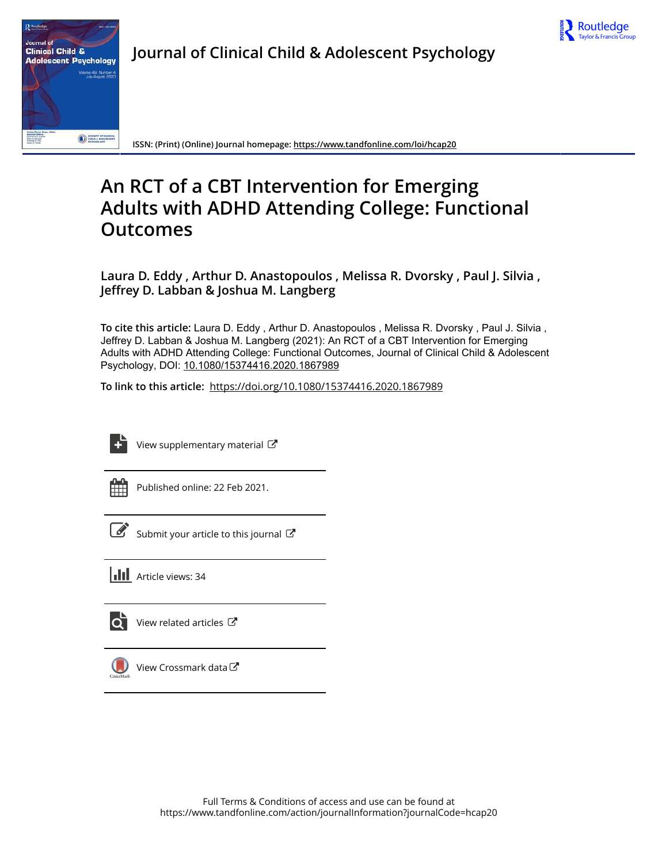



**Journal of Clinical Child & Adolescent Psychology**

**ISSN: (Print) (Online) Journal homepage:<https://www.tandfonline.com/loi/hcap20>**

# **An RCT of a CBT Intervention for Emerging Adults with ADHD Attending College: Functional Outcomes**

**Laura D. Eddy , Arthur D. Anastopoulos , Melissa R. Dvorsky , Paul J. Silvia , Jeffrey D. Labban & Joshua M. Langberg**

**To cite this article:** Laura D. Eddy , Arthur D. Anastopoulos , Melissa R. Dvorsky , Paul J. Silvia , Jeffrey D. Labban & Joshua M. Langberg (2021): An RCT of a CBT Intervention for Emerging Adults with ADHD Attending College: Functional Outcomes, Journal of Clinical Child & Adolescent Psychology, DOI: [10.1080/15374416.2020.1867989](https://www.tandfonline.com/action/showCitFormats?doi=10.1080/15374416.2020.1867989)

**To link to this article:** <https://doi.org/10.1080/15374416.2020.1867989>



[View supplementary material](https://www.tandfonline.com/doi/suppl/10.1080/15374416.2020.1867989)  $\mathbb{Z}$ 

Published online: 22 Feb 2021.

[Submit your article to this journal](https://www.tandfonline.com/action/authorSubmission?journalCode=hcap20&show=instructions)  $\mathbb{Z}$ 

**III** Article views: 34



 $\overrightarrow{O}$  [View related articles](https://www.tandfonline.com/doi/mlt/10.1080/15374416.2020.1867989)  $\overrightarrow{C}$ 



[View Crossmark data](http://crossmark.crossref.org/dialog/?doi=10.1080/15374416.2020.1867989&domain=pdf&date_stamp=2021-02-22) $\sigma$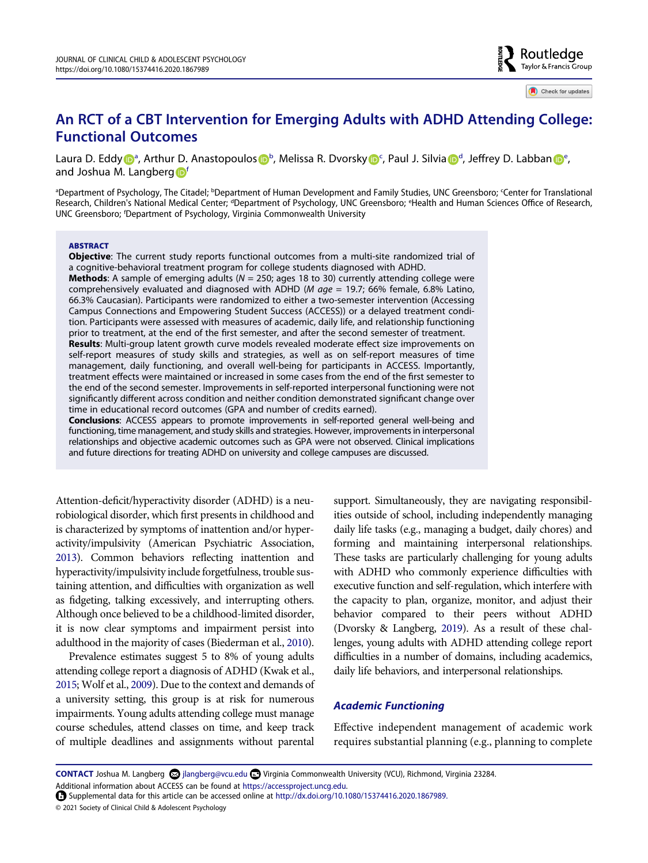# **An RCT of a CBT Intervention for Emerging Adults with ADHD Attending College: Functional Outcomes**

Laura D. Edd[y](http://orcid.org/0000-0001-5059-8344) <m[a](http://orcid.org/0000-0003-4597-328X)rk>D</mark>ª, Arthur D. Anastopoulos D<sup>[b](#page-1-0)</sup>, Melissa R. Dvorsky D<sup>[c](#page-1-0)</sup>, Paul J. Silvia D<sup>[d](#page-1-1)</sup>, Jeffrey D. Labba[n](http://orcid.org/0000-0002-3138-6925) D<sup>[e](#page-1-1)</sup>, and Joshua M. Langberg<sup>n[f](#page-1-2)</sup>

<span id="page-1-2"></span><span id="page-1-1"></span><span id="page-1-0"></span>ªDepartment of Psychology, The Citadel; <sup>b</sup>Department of Human Development and Family Studies, UNC Greensboro; <sup>c</sup>Center for Translational Research, Children's National Medical Center; <sup>d</sup>Department of Psychology, UNC Greensboro; <sup>e</sup>Health and Human Sciences Office of Research, UNC Greensboro; f Department of Psychology, Virginia Commonwealth University

#### **ABSTRACT**

**Objective**: The current study reports functional outcomes from a multi-site randomized trial of a cognitive-behavioral treatment program for college students diagnosed with ADHD. **Methods**: A sample of emerging adults (*N* = 250; ages 18 to 30) currently attending college were

comprehensively evaluated and diagnosed with ADHD (*M age* = 19.7; 66% female, 6.8% Latino, 66.3% Caucasian). Participants were randomized to either a two-semester intervention (Accessing Campus Connections and Empowering Student Success (ACCESS)) or a delayed treatment condition. Participants were assessed with measures of academic, daily life, and relationship functioning prior to treatment, at the end of the first semester, and after the second semester of treatment. **Results**: Multi-group latent growth curve models revealed moderate effect size improvements on self-report measures of study skills and strategies, as well as on self-report measures of time management, daily functioning, and overall well-being for participants in ACCESS. Importantly, treatment effects were maintained or increased in some cases from the end of the first semester to the end of the second semester. Improvements in self-reported interpersonal functioning were not significantly different across condition and neither condition demonstrated significant change over time in educational record outcomes (GPA and number of credits earned).

**Conclusions**: ACCESS appears to promote improvements in self-reported general well-being and functioning, time management, and study skills and strategies. However, improvements in interpersonal relationships and objective academic outcomes such as GPA were not observed. Clinical implications and future directions for treating ADHD on university and college campuses are discussed.

<span id="page-1-3"></span>Attention-deficit/hyperactivity disorder (ADHD) is a neurobiological disorder, which first presents in childhood and is characterized by symptoms of inattention and/or hyperactivity/impulsivity (American Psychiatric Association, [2013](#page-12-0)). Common behaviors reflecting inattention and hyperactivity/impulsivity include forgetfulness, trouble sustaining attention, and difficulties with organization as well as fidgeting, talking excessively, and interrupting others. Although once believed to be a childhood-limited disorder, it is now clear symptoms and impairment persist into adulthood in the majority of cases (Biederman et al., [2010](#page-12-1)).

<span id="page-1-7"></span><span id="page-1-6"></span><span id="page-1-4"></span>Prevalence estimates suggest 5 to 8% of young adults attending college report a diagnosis of ADHD (Kwak et al., [2015](#page-13-0); Wolf et al., [2009](#page-14-0)). Due to the context and demands of a university setting, this group is at risk for numerous impairments. Young adults attending college must manage course schedules, attend classes on time, and keep track of multiple deadlines and assignments without parental

support. Simultaneously, they are navigating responsibilities outside of school, including independently managing daily life tasks (e.g., managing a budget, daily chores) and forming and maintaining interpersonal relationships. These tasks are particularly challenging for young adults with ADHD who commonly experience difficulties with executive function and self-regulation, which interfere with the capacity to plan, organize, monitor, and adjust their behavior compared to their peers without ADHD (Dvorsky & Langberg, [2019\)](#page-12-2). As a result of these challenges, young adults with ADHD attending college report difficulties in a number of domains, including academics, daily life behaviors, and interpersonal relationships.

#### <span id="page-1-5"></span>*Academic Functioning*

Effective independent management of academic work requires substantial planning (e.g., planning to complete

**CONTACT** Joshua M. Langberg  $\odot$  jlangberg@vcu.edu  $\odot$  Virginia Commonwealth University (VCU), Richmond, Virginia 23284.

Additional information about ACCESS can be found at <https://accessproject.uncg.edu>.

Supplemental data for this article can be accessed online at <http://dx.doi.org/10.1080/15374416.2020.1867989.>

<sup>© 2021</sup> Society of Clinical Child & Adolescent Psychology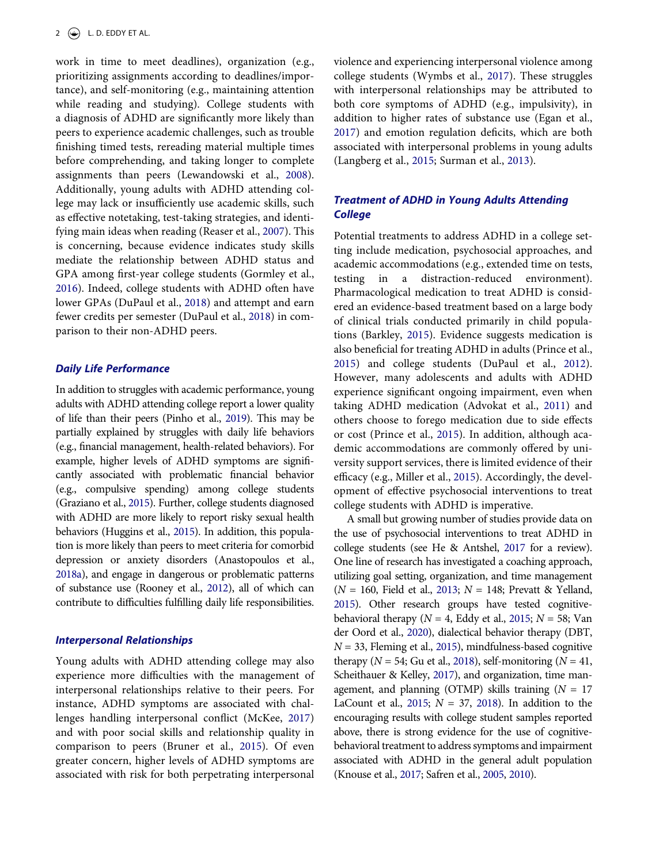<span id="page-2-18"></span>work in time to meet deadlines), organization (e.g., prioritizing assignments according to deadlines/importance), and self-monitoring (e.g., maintaining attention while reading and studying). College students with a diagnosis of ADHD are significantly more likely than peers to experience academic challenges, such as trouble finishing timed tests, rereading material multiple times before comprehending, and taking longer to complete assignments than peers (Lewandowski et al., [2008\)](#page-13-1). Additionally, young adults with ADHD attending college may lack or insufficiently use academic skills, such as effective notetaking, test-taking strategies, and identifying main ideas when reading (Reaser et al., [2007\)](#page-13-2). This is concerning, because evidence indicates study skills mediate the relationship between ADHD status and GPA among first-year college students (Gormley et al., [2016](#page-12-3)). Indeed, college students with ADHD often have lower GPAs (DuPaul et al., [2018](#page-12-4)) and attempt and earn fewer credits per semester (DuPaul et al., [2018](#page-12-4)) in comparison to their non-ADHD peers.

#### <span id="page-2-23"></span><span id="page-2-10"></span><span id="page-2-4"></span>*Daily Life Performance*

<span id="page-2-21"></span><span id="page-2-11"></span>In addition to struggles with academic performance, young adults with ADHD attending college report a lower quality of life than their peers (Pinho et al., [2019\)](#page-13-3). This may be partially explained by struggles with daily life behaviors (e.g., financial management, health-related behaviors). For example, higher levels of ADHD symptoms are significantly associated with problematic financial behavior (e.g., compulsive spending) among college students (Graziano et al., [2015](#page-12-5)). Further, college students diagnosed with ADHD are more likely to report risky sexual health behaviors (Huggins et al., [2015](#page-13-4)). In addition, this population is more likely than peers to meet criteria for comorbid depression or anxiety disorders (Anastopoulos et al., [2018a\)](#page-12-6), and engage in dangerous or problematic patterns of substance use (Rooney et al., [2012](#page-13-5)), all of which can contribute to difficulties fulfilling daily life responsibilities.

# <span id="page-2-24"></span><span id="page-2-14"></span><span id="page-2-1"></span>*Interpersonal Relationships*

<span id="page-2-19"></span><span id="page-2-3"></span>Young adults with ADHD attending college may also experience more difficulties with the management of interpersonal relationships relative to their peers. For instance, ADHD symptoms are associated with challenges handling interpersonal conflict (McKee, [2017](#page-13-6)) and with poor social skills and relationship quality in comparison to peers (Bruner et al., [2015\)](#page-12-7). Of even greater concern, higher levels of ADHD symptoms are associated with risk for both perpetrating interpersonal <span id="page-2-27"></span><span id="page-2-7"></span>violence and experiencing interpersonal violence among college students (Wymbs et al., [2017\)](#page-14-1). These struggles with interpersonal relationships may be attributed to both core symptoms of ADHD (e.g., impulsivity), in addition to higher rates of substance use (Egan et al., [2017](#page-12-8)) and emotion regulation deficits, which are both associated with interpersonal problems in young adults (Langberg et al., [2015;](#page-13-7) Surman et al., [2013](#page-13-8)).

# <span id="page-2-17"></span>*Treatment of ADHD in Young Adults Attending College*

<span id="page-2-5"></span><span id="page-2-2"></span>Potential treatments to address ADHD in a college setting include medication, psychosocial approaches, and academic accommodations (e.g., extended time on tests, testing in a distraction-reduced environment). Pharmacological medication to treat ADHD is considered an evidence-based treatment based on a large body of clinical trials conducted primarily in child populations (Barkley, [2015](#page-12-9)). Evidence suggests medication is also beneficial for treating ADHD in adults (Prince et al., [2015](#page-13-9)) and college students (DuPaul et al., [2012\)](#page-12-10). However, many adolescents and adults with ADHD experience significant ongoing impairment, even when taking ADHD medication (Advokat et al., [2011\)](#page-12-11) and others choose to forego medication due to side effects or cost (Prince et al., [2015\)](#page-13-9). In addition, although academic accommodations are commonly offered by university support services, there is limited evidence of their efficacy (e.g., Miller et al., [2015\)](#page-13-10). Accordingly, the development of effective psychosocial interventions to treat college students with ADHD is imperative.

<span id="page-2-26"></span><span id="page-2-25"></span><span id="page-2-22"></span><span id="page-2-20"></span><span id="page-2-16"></span><span id="page-2-15"></span><span id="page-2-13"></span><span id="page-2-12"></span><span id="page-2-9"></span><span id="page-2-8"></span><span id="page-2-6"></span><span id="page-2-0"></span>A small but growing number of studies provide data on the use of psychosocial interventions to treat ADHD in college students (see He & Antshel, [2017](#page-12-12) for a review). One line of research has investigated a coaching approach, utilizing goal setting, organization, and time management (*N* = 160, Field et al., [2013](#page-12-13); *N* = 148; Prevatt & Yelland, [2015](#page-13-11)). Other research groups have tested cognitivebehavioral therapy ( $N = 4$ , Eddy et al., [2015](#page-12-14);  $N = 58$ ; Van der Oord et al., [2020](#page-14-2)), dialectical behavior therapy (DBT,  $N = 33$ , Fleming et al., [2015\)](#page-12-15), mindfulness-based cognitive therapy ( $N = 54$ ; Gu et al., [2018\)](#page-12-16), self-monitoring ( $N = 41$ , Scheithauer & Kelley, [2017](#page-13-12)), and organization, time management, and planning (OTMP) skills training (*N* = 17 LaCount et al.,  $2015$ ;  $N = 37$ , [2018](#page-13-14)). In addition to the encouraging results with college student samples reported above, there is strong evidence for the use of cognitivebehavioral treatment to address symptoms and impairment associated with ADHD in the general adult population (Knouse et al., [2017;](#page-13-15) Safren et al., [2005,](#page-13-16) [2010](#page-13-17)).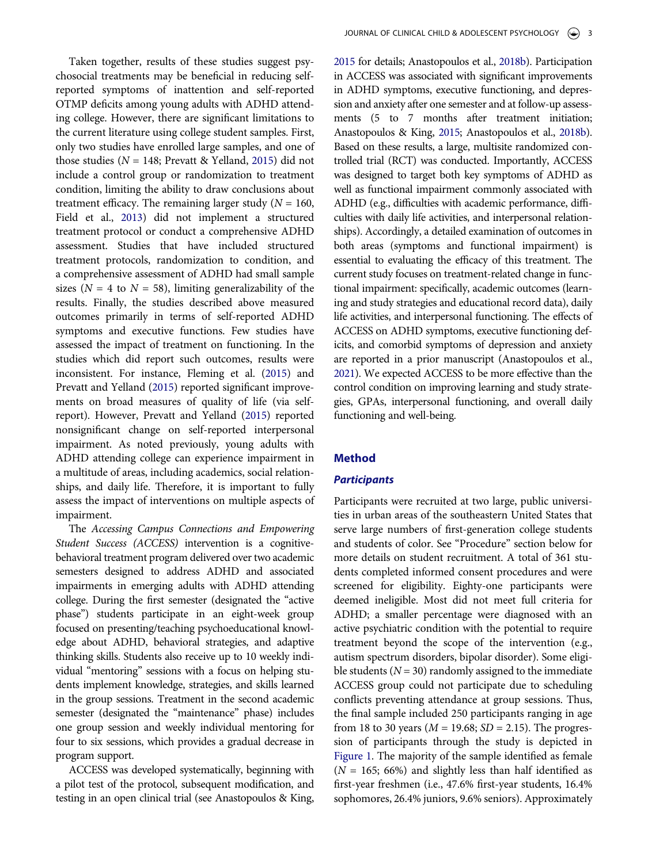Taken together, results of these studies suggest psychosocial treatments may be beneficial in reducing selfreported symptoms of inattention and self-reported OTMP deficits among young adults with ADHD attending college. However, there are significant limitations to the current literature using college student samples. First, only two studies have enrolled large samples, and one of those studies ( $N = 148$ ; Prevatt & Yelland, [2015\)](#page-13-11) did not include a control group or randomization to treatment condition, limiting the ability to draw conclusions about treatment efficacy. The remaining larger study  $(N = 160,$ Field et al., [2013\)](#page-12-13) did not implement a structured treatment protocol or conduct a comprehensive ADHD assessment. Studies that have included structured treatment protocols, randomization to condition, and a comprehensive assessment of ADHD had small sample sizes ( $N = 4$  to  $N = 58$ ), limiting generalizability of the results. Finally, the studies described above measured outcomes primarily in terms of self-reported ADHD symptoms and executive functions. Few studies have assessed the impact of treatment on functioning. In the studies which did report such outcomes, results were inconsistent. For instance, Fleming et al. [\(2015\)](#page-12-15) and Prevatt and Yelland ([2015](#page-13-11)) reported significant improvements on broad measures of quality of life (via selfreport). However, Prevatt and Yelland ([2015](#page-13-11)) reported nonsignificant change on self-reported interpersonal impairment. As noted previously, young adults with ADHD attending college can experience impairment in a multitude of areas, including academics, social relationships, and daily life. Therefore, it is important to fully assess the impact of interventions on multiple aspects of impairment.

The *Accessing Campus Connections and Empowering Student Success (ACCESS)* intervention is a cognitivebehavioral treatment program delivered over two academic semesters designed to address ADHD and associated impairments in emerging adults with ADHD attending college. During the first semester (designated the "active phase") students participate in an eight-week group focused on presenting/teaching psychoeducational knowledge about ADHD, behavioral strategies, and adaptive thinking skills. Students also receive up to 10 weekly individual "mentoring" sessions with a focus on helping students implement knowledge, strategies, and skills learned in the group sessions. Treatment in the second academic semester (designated the "maintenance" phase) includes one group session and weekly individual mentoring for four to six sessions, which provides a gradual decrease in program support.

ACCESS was developed systematically, beginning with a pilot test of the protocol, subsequent modification, and testing in an open clinical trial (see Anastopoulos & King,

<span id="page-3-0"></span>[2015](#page-12-17) for details; Anastopoulos et al., [2018b\)](#page-12-18). Participation in ACCESS was associated with significant improvements in ADHD symptoms, executive functioning, and depression and anxiety after one semester and at follow-up assessments (5 to 7 months after treatment initiation; Anastopoulos & King, [2015](#page-12-17); Anastopoulos et al., [2018b](#page-12-18)). Based on these results, a large, multisite randomized controlled trial (RCT) was conducted. Importantly, ACCESS was designed to target both key symptoms of ADHD as well as functional impairment commonly associated with ADHD (e.g., difficulties with academic performance, difficulties with daily life activities, and interpersonal relationships). Accordingly, a detailed examination of outcomes in both areas (symptoms and functional impairment) is essential to evaluating the efficacy of this treatment. The current study focuses on treatment-related change in functional impairment: specifically, academic outcomes (learning and study strategies and educational record data), daily life activities, and interpersonal functioning. The effects of ACCESS on ADHD symptoms, executive functioning deficits, and comorbid symptoms of depression and anxiety are reported in a prior manuscript (Anastopoulos et al., [2021](#page-12-19)). We expected ACCESS to be more effective than the control condition on improving learning and study strategies, GPAs, interpersonal functioning, and overall daily functioning and well-being.

# <span id="page-3-1"></span>**Method**

# *Participants*

Participants were recruited at two large, public universities in urban areas of the southeastern United States that serve large numbers of first-generation college students and students of color. See "Procedure" section below for more details on student recruitment. A total of 361 students completed informed consent procedures and were screened for eligibility. Eighty-one participants were deemed ineligible. Most did not meet full criteria for ADHD; a smaller percentage were diagnosed with an active psychiatric condition with the potential to require treatment beyond the scope of the intervention (e.g., autism spectrum disorders, bipolar disorder). Some eligible students  $(N = 30)$  randomly assigned to the immediate ACCESS group could not participate due to scheduling conflicts preventing attendance at group sessions. Thus, the final sample included 250 participants ranging in age from 18 to 30 years ( $M = 19.68$ ;  $SD = 2.15$ ). The progression of participants through the study is depicted in [Figure 1](#page-4-0). The majority of the sample identified as female  $(N = 165; 66%)$  and slightly less than half identified as first-year freshmen (i.e., 47.6% first-year students, 16.4% sophomores, 26.4% juniors, 9.6% seniors). Approximately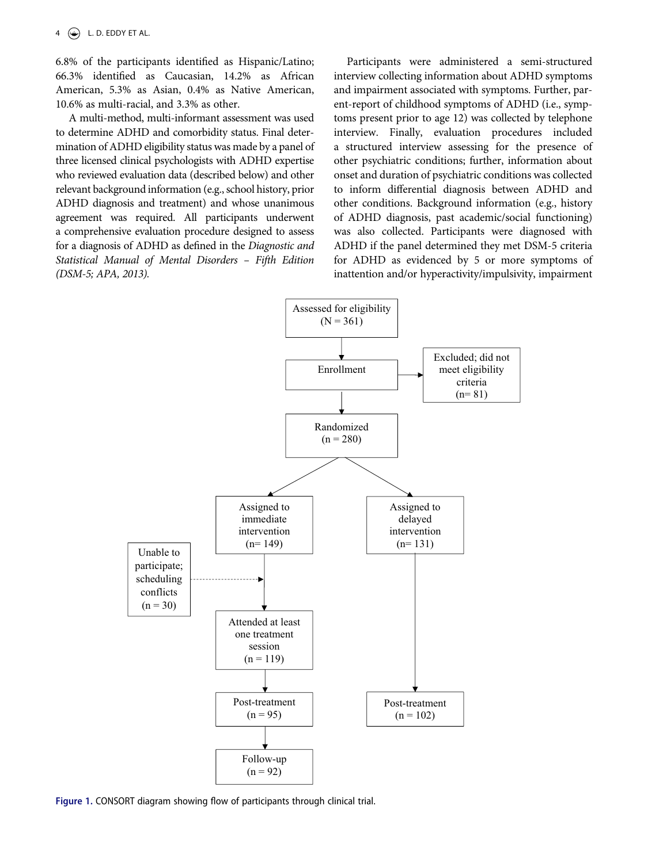6.8% of the participants identified as Hispanic/Latino; 66.3% identified as Caucasian, 14.2% as African American, 5.3% as Asian, 0.4% as Native American, 10.6% as multi-racial, and 3.3% as other.

A multi-method, multi-informant assessment was used to determine ADHD and comorbidity status. Final determination of ADHD eligibility status was made by a panel of three licensed clinical psychologists with ADHD expertise who reviewed evaluation data (described below) and other relevant background information (e.g., school history, prior ADHD diagnosis and treatment) and whose unanimous agreement was required. All participants underwent a comprehensive evaluation procedure designed to assess for a diagnosis of ADHD as defined in the *Diagnostic and Statistical Manual of Mental Disorders – Fifth Edition (DSM-5; APA, 2013).*

Participants were administered a semi-structured interview collecting information about ADHD symptoms and impairment associated with symptoms. Further, parent-report of childhood symptoms of ADHD (i.e., symptoms present prior to age 12) was collected by telephone interview. Finally, evaluation procedures included a structured interview assessing for the presence of other psychiatric conditions; further, information about onset and duration of psychiatric conditions was collected to inform differential diagnosis between ADHD and other conditions. Background information (e.g., history of ADHD diagnosis, past academic/social functioning) was also collected. Participants were diagnosed with ADHD if the panel determined they met DSM-5 criteria for ADHD as evidenced by 5 or more symptoms of inattention and/or hyperactivity/impulsivity, impairment

<span id="page-4-0"></span>

**Figure 1.** CONSORT diagram showing flow of participants through clinical trial.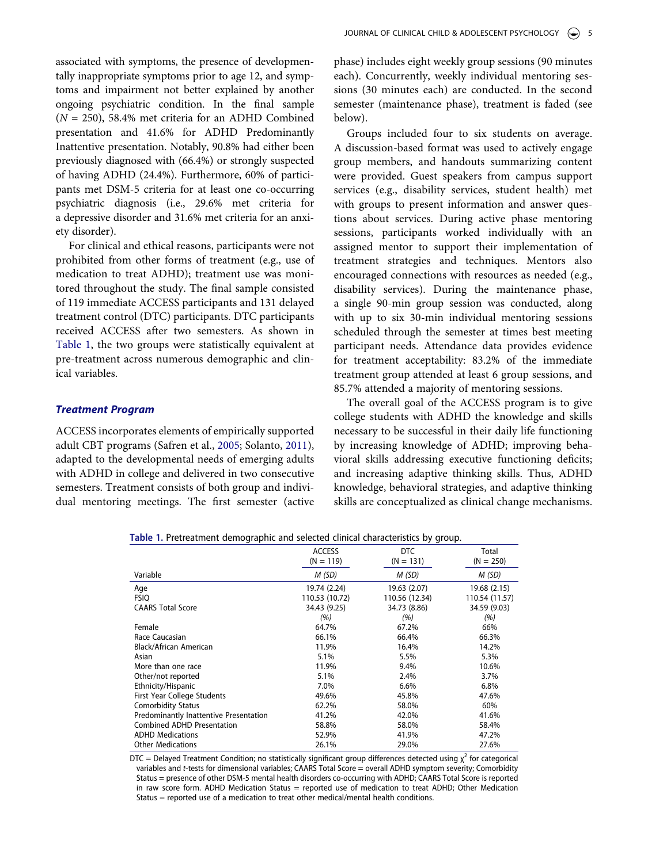associated with symptoms, the presence of developmentally inappropriate symptoms prior to age 12, and symptoms and impairment not better explained by another ongoing psychiatric condition. In the final sample (*N* = 250), 58.4% met criteria for an ADHD Combined presentation and 41.6% for ADHD Predominantly Inattentive presentation. Notably, 90.8% had either been previously diagnosed with (66.4%) or strongly suspected of having ADHD (24.4%). Furthermore, 60% of participants met DSM-5 criteria for at least one co-occurring psychiatric diagnosis (i.e., 29.6% met criteria for a depressive disorder and 31.6% met criteria for an anxiety disorder).

For clinical and ethical reasons, participants were not prohibited from other forms of treatment (e.g., use of medication to treat ADHD); treatment use was monitored throughout the study. The final sample consisted of 119 immediate ACCESS participants and 131 delayed treatment control (DTC) participants. DTC participants received ACCESS after two semesters. As shown in [Table 1](#page-5-0), the two groups were statistically equivalent at pre-treatment across numerous demographic and clinical variables.

# *Treatment Program*

<span id="page-5-1"></span>ACCESS incorporates elements of empirically supported adult CBT programs (Safren et al., [2005;](#page-13-16) Solanto, [2011\)](#page-13-18), adapted to the developmental needs of emerging adults with ADHD in college and delivered in two consecutive semesters. Treatment consists of both group and individual mentoring meetings. The first semester (active phase) includes eight weekly group sessions (90 minutes each). Concurrently, weekly individual mentoring sessions (30 minutes each) are conducted. In the second semester (maintenance phase), treatment is faded (see below).

Groups included four to six students on average. A discussion-based format was used to actively engage group members, and handouts summarizing content were provided. Guest speakers from campus support services (e.g., disability services, student health) met with groups to present information and answer questions about services. During active phase mentoring sessions, participants worked individually with an assigned mentor to support their implementation of treatment strategies and techniques. Mentors also encouraged connections with resources as needed (e.g., disability services). During the maintenance phase, a single 90-min group session was conducted, along with up to six 30-min individual mentoring sessions scheduled through the semester at times best meeting participant needs. Attendance data provides evidence for treatment acceptability: 83.2% of the immediate treatment group attended at least 6 group sessions, and 85.7% attended a majority of mentoring sessions.

The overall goal of the ACCESS program is to give college students with ADHD the knowledge and skills necessary to be successful in their daily life functioning by increasing knowledge of ADHD; improving behavioral skills addressing executive functioning deficits; and increasing adaptive thinking skills. Thus, ADHD knowledge, behavioral strategies, and adaptive thinking skills are conceptualized as clinical change mechanisms.

|                                        | <b>ACCESS</b><br>$(N = 119)$ | <b>DTC</b><br>$(N = 131)$ | Total<br>$(N = 250)$ |
|----------------------------------------|------------------------------|---------------------------|----------------------|
| Variable                               | M(SD)                        | M(SD)                     | M (SD)               |
| Age                                    | 19.74 (2.24)                 | 19.63 (2.07)              | 19.68 (2.15)         |
| <b>FSIQ</b>                            | 110.53 (10.72)               | 110.56 (12.34)            | 110.54 (11.57)       |
| <b>CAARS Total Score</b>               | 34.43 (9.25)                 | 34.73 (8.86)              | 34.59 (9.03)         |
|                                        | (%)                          | (%)                       | (%)                  |
| Female                                 | 64.7%                        | 67.2%                     | 66%                  |
| Race Caucasian                         | 66.1%                        | 66.4%                     | 66.3%                |
| Black/African American                 | 11.9%                        | 16.4%                     | 14.2%                |
| Asian                                  | 5.1%                         | 5.5%                      | 5.3%                 |
| More than one race                     | 11.9%                        | 9.4%                      | 10.6%                |
| Other/not reported                     | 5.1%                         | 2.4%                      | 3.7%                 |
| Ethnicity/Hispanic                     | 7.0%                         | 6.6%                      | 6.8%                 |
| First Year College Students            | 49.6%                        | 45.8%                     | 47.6%                |
| <b>Comorbidity Status</b>              | 62.2%                        | 58.0%                     | 60%                  |
| Predominantly Inattentive Presentation | 41.2%                        | 42.0%                     | 41.6%                |
| <b>Combined ADHD Presentation</b>      | 58.8%                        | 58.0%                     | 58.4%                |
| <b>ADHD Medications</b>                | 52.9%                        | 41.9%                     | 47.2%                |
| <b>Other Medications</b>               | 26.1%                        | 29.0%                     | 27.6%                |

<span id="page-5-0"></span>**Table 1.** Pretreatment demographic and selected clinical characteristics by group.

DTC = Delayed Treatment Condition; no statistically significant group differences detected using  $\chi^2$  for categorical variables and *t*-tests for dimensional variables; CAARS Total Score = overall ADHD symptom severity; Comorbidity Status = presence of other DSM-5 mental health disorders co-occurring with ADHD; CAARS Total Score is reported in raw score form. ADHD Medication Status = reported use of medication to treat ADHD; Other Medication Status = reported use of a medication to treat other medical/mental health conditions.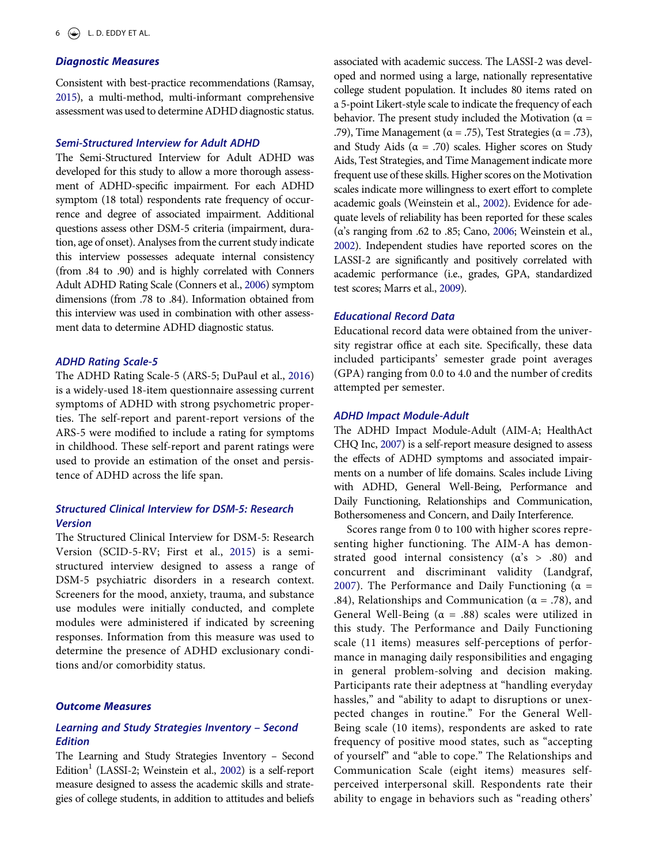#### *Diagnostic Measures*

<span id="page-6-7"></span>Consistent with best-practice recommendations (Ramsay, [2015](#page-13-19)), a multi-method, multi-informant comprehensive assessment was used to determine ADHD diagnostic status.

#### *Semi-Structured Interview for Adult ADHD*

The Semi-Structured Interview for Adult ADHD was developed for this study to allow a more thorough assessment of ADHD-specific impairment. For each ADHD symptom (18 total) respondents rate frequency of occurrence and degree of associated impairment. Additional questions assess other DSM-5 criteria (impairment, duration, age of onset). Analyses from the current study indicate this interview possesses adequate internal consistency (from .84 to .90) and is highly correlated with Conners Adult ADHD Rating Scale (Conners et al., [2006](#page-12-20)) symptom dimensions (from .78 to .84). Information obtained from this interview was used in combination with other assessment data to determine ADHD diagnostic status.

#### <span id="page-6-1"></span>*ADHD Rating Scale-5*

<span id="page-6-2"></span>The ADHD Rating Scale-5 (ARS-5; DuPaul et al., [2016](#page-12-21)) is a widely-used 18-item questionnaire assessing current symptoms of ADHD with strong psychometric properties. The self-report and parent-report versions of the ARS-5 were modified to include a rating for symptoms in childhood. These self-report and parent ratings were used to provide an estimation of the onset and persistence of ADHD across the life span.

# *Structured Clinical Interview for DSM-5: Research Version*

<span id="page-6-3"></span>The Structured Clinical Interview for DSM-5: Research Version (SCID-5-RV; First et al., [2015\)](#page-12-22) is a semistructured interview designed to assess a range of DSM-5 psychiatric disorders in a research context. Screeners for the mood, anxiety, trauma, and substance use modules were initially conducted, and complete modules were administered if indicated by screening responses. Information from this measure was used to determine the presence of ADHD exclusionary conditions and/or comorbidity status.

#### *Outcome Measures*

# *Learning and Study Strategies Inventory – Second Edition*

The Learning and Study Strategies Inventory *–* Second Edition<sup>1</sup> (LASSI-2; Weinstein et al., [2002](#page-14-3)) is a self-report measure designed to assess the academic skills and strategies of college students, in addition to attitudes and beliefs associated with academic success. The LASSI-2 was developed and normed using a large, nationally representative college student population. It includes 80 items rated on a 5-point Likert-style scale to indicate the frequency of each behavior. The present study included the Motivation ( $\alpha$  = .79), Time Management ( $\alpha$  = .75), Test Strategies ( $\alpha$  = .73), and Study Aids ( $\alpha = .70$ ) scales. Higher scores on Study Aids, Test Strategies, and Time Management indicate more frequent use of these skills. Higher scores on the Motivation scales indicate more willingness to exert effort to complete academic goals (Weinstein et al., [2002](#page-14-3)). Evidence for adequate levels of reliability has been reported for these scales (α's ranging from .62 to .85; Cano, [2006](#page-12-23); Weinstein et al., [2002](#page-14-3)). Independent studies have reported scores on the LASSI-2 are significantly and positively correlated with academic performance (i.e., grades, GPA, standardized test scores; Marrs et al., [2009](#page-13-20)).

# <span id="page-6-6"></span><span id="page-6-0"></span>*Educational Record Data*

Educational record data were obtained from the university registrar office at each site. Specifically, these data included participants' semester grade point averages (GPA) ranging from 0.0 to 4.0 and the number of credits attempted per semester.

#### *ADHD Impact Module-Adult*

<span id="page-6-4"></span>The ADHD Impact Module-Adult (AIM-A; HealthAct CHQ Inc, [2007\)](#page-13-21) is a self-report measure designed to assess the effects of ADHD symptoms and associated impairments on a number of life domains. Scales include Living with ADHD, General Well-Being, Performance and Daily Functioning, Relationships and Communication, Bothersomeness and Concern, and Daily Interference.

<span id="page-6-5"></span>Scores range from 0 to 100 with higher scores representing higher functioning. The AIM-A has demonstrated good internal consistency  $(a's > .80)$  and concurrent and discriminant validity (Landgraf, [2007\)](#page-13-22). The Performance and Daily Functioning ( $\alpha$  = .84), Relationships and Communication ( $\alpha$  = .78), and General Well-Being ( $\alpha = .88$ ) scales were utilized in this study. The Performance and Daily Functioning scale (11 items) measures self-perceptions of performance in managing daily responsibilities and engaging in general problem-solving and decision making. Participants rate their adeptness at "handling everyday hassles," and "ability to adapt to disruptions or unexpected changes in routine." For the General Well-Being scale (10 items), respondents are asked to rate frequency of positive mood states, such as "accepting of yourself" and "able to cope." The Relationships and Communication Scale (eight items) measures selfperceived interpersonal skill. Respondents rate their ability to engage in behaviors such as "reading others'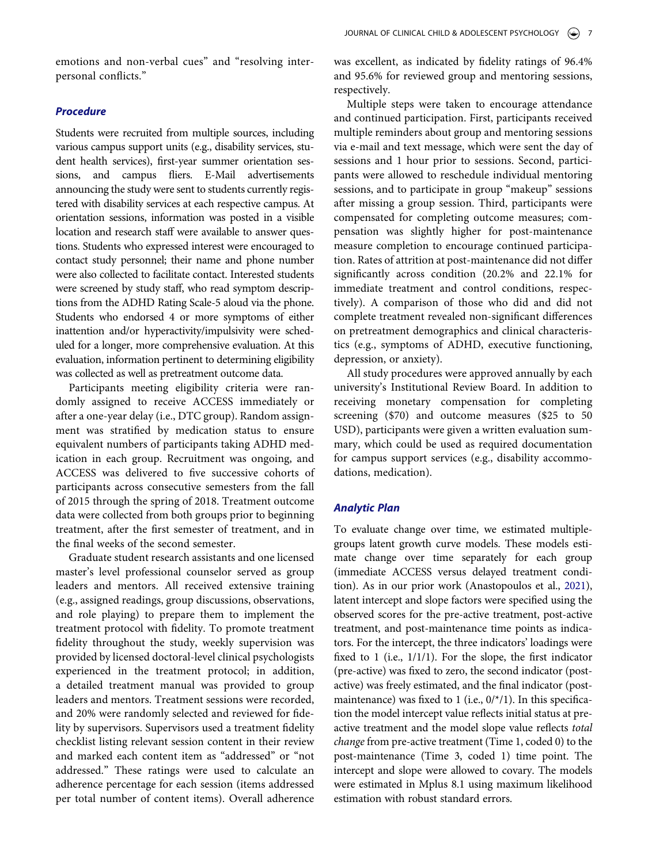emotions and non-verbal cues" and "resolving interpersonal conflicts."

## *Procedure*

Students were recruited from multiple sources, including various campus support units (e.g., disability services, student health services), first-year summer orientation sessions, and campus fliers. E-Mail advertisements announcing the study were sent to students currently registered with disability services at each respective campus. At orientation sessions, information was posted in a visible location and research staff were available to answer questions. Students who expressed interest were encouraged to contact study personnel; their name and phone number were also collected to facilitate contact. Interested students were screened by study staff, who read symptom descriptions from the ADHD Rating Scale-5 aloud via the phone. Students who endorsed 4 or more symptoms of either inattention and/or hyperactivity/impulsivity were scheduled for a longer, more comprehensive evaluation. At this evaluation, information pertinent to determining eligibility was collected as well as pretreatment outcome data.

Participants meeting eligibility criteria were randomly assigned to receive ACCESS immediately or after a one-year delay (i.e., DTC group). Random assignment was stratified by medication status to ensure equivalent numbers of participants taking ADHD medication in each group. Recruitment was ongoing, and ACCESS was delivered to five successive cohorts of participants across consecutive semesters from the fall of 2015 through the spring of 2018. Treatment outcome data were collected from both groups prior to beginning treatment, after the first semester of treatment, and in the final weeks of the second semester.

Graduate student research assistants and one licensed master's level professional counselor served as group leaders and mentors. All received extensive training (e.g., assigned readings, group discussions, observations, and role playing) to prepare them to implement the treatment protocol with fidelity. To promote treatment fidelity throughout the study, weekly supervision was provided by licensed doctoral-level clinical psychologists experienced in the treatment protocol; in addition, a detailed treatment manual was provided to group leaders and mentors. Treatment sessions were recorded, and 20% were randomly selected and reviewed for fidelity by supervisors. Supervisors used a treatment fidelity checklist listing relevant session content in their review and marked each content item as "addressed" or "not addressed." These ratings were used to calculate an adherence percentage for each session (items addressed per total number of content items). Overall adherence was excellent, as indicated by fidelity ratings of 96.4% and 95.6% for reviewed group and mentoring sessions, respectively.

Multiple steps were taken to encourage attendance and continued participation. First, participants received multiple reminders about group and mentoring sessions via e-mail and text message, which were sent the day of sessions and 1 hour prior to sessions. Second, participants were allowed to reschedule individual mentoring sessions, and to participate in group "makeup" sessions after missing a group session. Third, participants were compensated for completing outcome measures; compensation was slightly higher for post-maintenance measure completion to encourage continued participation. Rates of attrition at post-maintenance did not differ significantly across condition (20.2% and 22.1% for immediate treatment and control conditions, respectively). A comparison of those who did and did not complete treatment revealed non-significant differences on pretreatment demographics and clinical characteristics (e.g., symptoms of ADHD, executive functioning, depression, or anxiety).

All study procedures were approved annually by each university's Institutional Review Board. In addition to receiving monetary compensation for completing screening (\$70) and outcome measures (\$25 to 50 USD), participants were given a written evaluation summary, which could be used as required documentation for campus support services (e.g., disability accommodations, medication).

#### *Analytic Plan*

To evaluate change over time, we estimated multiplegroups latent growth curve models. These models estimate change over time separately for each group (immediate ACCESS versus delayed treatment condition). As in our prior work (Anastopoulos et al., [2021](#page-12-19)), latent intercept and slope factors were specified using the observed scores for the pre-active treatment, post-active treatment, and post-maintenance time points as indicators. For the intercept, the three indicators' loadings were fixed to 1 (i.e., 1/1/1). For the slope, the first indicator (pre-active) was fixed to zero, the second indicator (postactive) was freely estimated, and the final indicator (postmaintenance) was fixed to 1 (i.e.,  $0$ /\*/1). In this specification the model intercept value reflects initial status at preactive treatment and the model slope value reflects *total change* from pre-active treatment (Time 1, coded 0) to the post-maintenance (Time 3, coded 1) time point. The intercept and slope were allowed to covary. The models were estimated in Mplus 8.1 using maximum likelihood estimation with robust standard errors.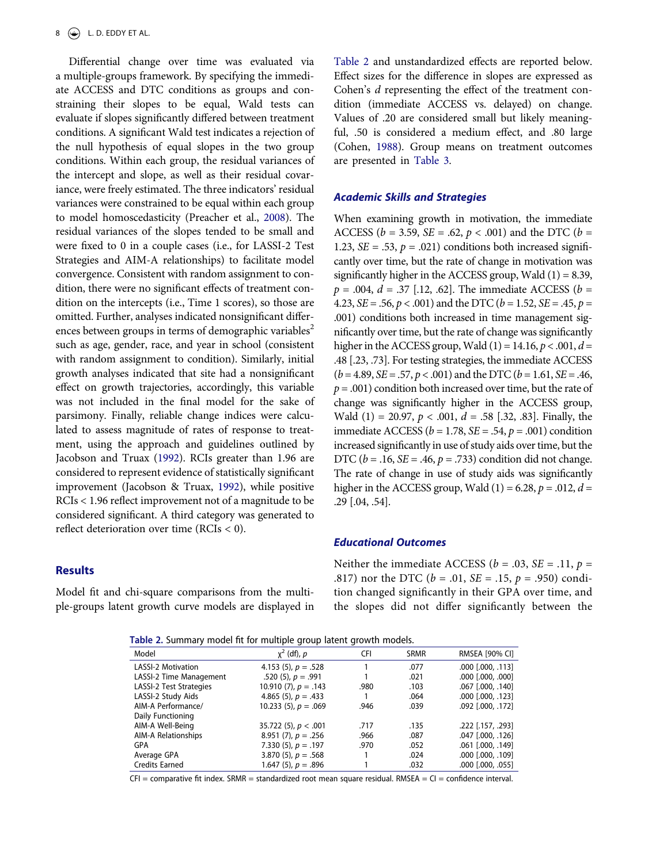<span id="page-8-3"></span>Differential change over time was evaluated via a multiple-groups framework. By specifying the immediate ACCESS and DTC conditions as groups and constraining their slopes to be equal, Wald tests can evaluate if slopes significantly differed between treatment conditions. A significant Wald test indicates a rejection of the null hypothesis of equal slopes in the two group conditions. Within each group, the residual variances of the intercept and slope, as well as their residual covariance, were freely estimated. The three indicators' residual variances were constrained to be equal within each group to model homoscedasticity (Preacher et al., [2008\)](#page-13-23). The residual variances of the slopes tended to be small and were fixed to 0 in a couple cases (i.e., for LASSI-2 Test Strategies and AIM-A relationships) to facilitate model convergence. Consistent with random assignment to condition, there were no significant effects of treatment condition on the intercepts (i.e., Time 1 scores), so those are omitted. Further, analyses indicated nonsignificant differences between groups in terms of demographic variables<sup>2</sup> such as age, gender, race, and year in school (consistent with random assignment to condition). Similarly, initial growth analyses indicated that site had a nonsignificant effect on growth trajectories, accordingly, this variable was not included in the final model for the sake of parsimony. Finally, reliable change indices were calculated to assess magnitude of rates of response to treatment, using the approach and guidelines outlined by Jacobson and Truax ([1992](#page-13-24)). RCIs greater than 1.96 are considered to represent evidence of statistically significant improvement (Jacobson & Truax, [1992](#page-13-24)), while positive RCIs < 1.96 reflect improvement not of a magnitude to be considered significant. A third category was generated to reflect deterioration over time (RCIs < 0).

# <span id="page-8-2"></span>**Results**

Model fit and chi-square comparisons from the multiple-groups latent growth curve models are displayed in [Table 2](#page-8-0) and unstandardized effects are reported below. Effect sizes for the difference in slopes are expressed as Cohen's *d* representing the effect of the treatment condition (immediate ACCESS vs. delayed) on change. Values of .20 are considered small but likely meaningful, .50 is considered a medium effect, and .80 large (Cohen, [1988\)](#page-12-24). Group means on treatment outcomes are presented in [Table 3.](#page-9-0)

#### <span id="page-8-1"></span>*Academic Skills and Strategies*

When examining growth in motivation, the immediate ACCESS (*b* = 3.59, *SE* = .62, *p* < .001) and the DTC (*b* = 1.23,  $SE = .53$ ,  $p = .021$ ) conditions both increased significantly over time, but the rate of change in motivation was significantly higher in the ACCESS group, Wald (1) = 8.39, *p* = .004, *d* = .37 [.12, .62]. The immediate ACCESS (*b* = 4.23, *SE* = .56, *p* < .001) and the DTC (*b* = 1.52, *SE* = .45, *p* = .001) conditions both increased in time management significantly over time, but the rate of change was significantly higher in the ACCESS group, Wald (1) = 14.16, *p* < .001, *d* = .48 [.23, .73]. For testing strategies, the immediate ACCESS (*b* = 4.89, *SE* = .57, *p* < .001) and the DTC (*b* = 1.61, *SE* = .46, *p* = .001) condition both increased over time, but the rate of change was significantly higher in the ACCESS group, Wald (1) = 20.97, *p* < .001, *d* = .58 [.32, .83]. Finally, the immediate ACCESS (*b* = 1.78, *SE* = .54, *p* = .001) condition increased significantly in use of study aids over time, but the DTC (*b* = .16, *SE* = .46, *p* = .733) condition did not change. The rate of change in use of study aids was significantly higher in the ACCESS group, Wald  $(1) = 6.28$ ,  $p = .012$ ,  $d =$ .29 [.04, .54].

#### *Educational Outcomes*

Neither the immediate ACCESS ( $b = .03$ , *SE* = .11,  $p =$ .817) nor the DTC (*b* = .01, *SE* = .15, *p* = .950) condition changed significantly in their GPA over time, and the slopes did not differ significantly between the

<span id="page-8-0"></span>**Table 2.** Summary model fit for multiple group latent growth models.

| <b>TWATE E.</b> Summary moder in for manapic group facent growth moders. |            |             |                   |  |  |  |  |  |  |
|--------------------------------------------------------------------------|------------|-------------|-------------------|--|--|--|--|--|--|
| $x^2$ (df), p                                                            | <b>CFI</b> | <b>SRMR</b> | RMSEA [90% CI]    |  |  |  |  |  |  |
| 4.153 (5), $p = .528$                                                    |            | .077        | .000 [.000, .113] |  |  |  |  |  |  |
| .520 (5), $p = .991$                                                     |            | .021        | .000 [.000, .000] |  |  |  |  |  |  |
| 10.910 $(7)$ , $p = .143$                                                | .980       | .103        | .067 [.000, .140] |  |  |  |  |  |  |
| 4.865 (5), $p = .433$                                                    |            | .064        | .000 [.000, .123] |  |  |  |  |  |  |
| 10.233 (5), $p = .069$                                                   | .946       | .039        | .092 [.000, .172] |  |  |  |  |  |  |
|                                                                          |            |             |                   |  |  |  |  |  |  |
| 35.722 (5), $p < .001$                                                   | .717       | .135        | .2931 .157, .2931 |  |  |  |  |  |  |
| 8.951 $(7)$ , $p = .256$                                                 | .966       | .087        | .047 [.000, .126] |  |  |  |  |  |  |
| 7.330 (5), $p = .197$                                                    | .970       | .052        | .061 [.000, .149] |  |  |  |  |  |  |
| 3.870 (5), $p = .568$                                                    |            | .024        | .000 [.000, .109] |  |  |  |  |  |  |
| 1.647 (5), $p = .896$                                                    |            | .032        | .000 [.000, .055] |  |  |  |  |  |  |
|                                                                          |            |             |                   |  |  |  |  |  |  |

 $CFI = \text{compactive fit index. SRMR} = \text{standardized root mean square residual. RMSEA} = CI = \text{confidence interval.}$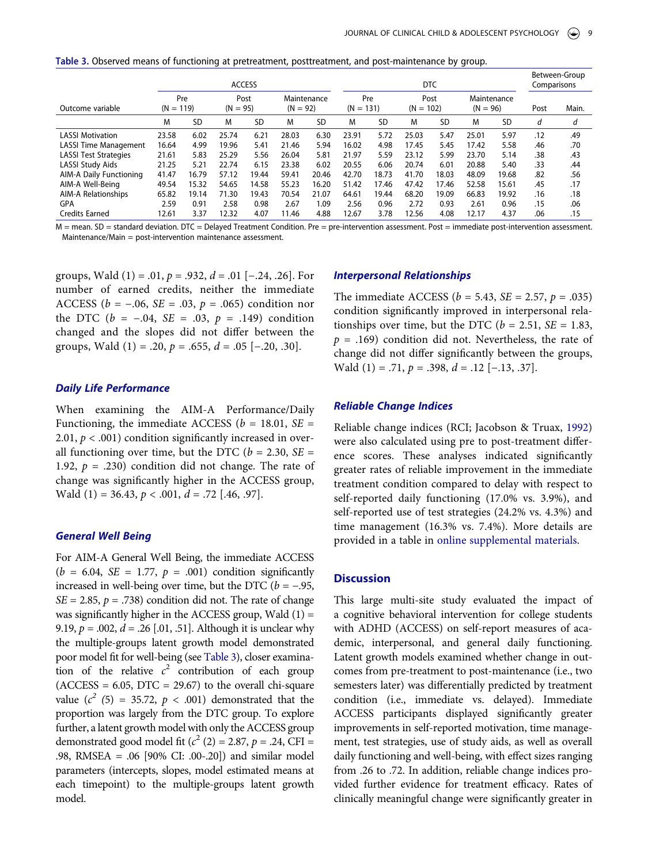<span id="page-9-0"></span>**Table 3.** Observed means of functioning at pretreatment, posttreatment, and post-maintenance by group.

|                              | <b>ACCESS</b> |                                          |       |           |                           |           | <b>DTC</b>         |       |                     |           |                           |           | Between-Group<br>Comparisons |       |
|------------------------------|---------------|------------------------------------------|-------|-----------|---------------------------|-----------|--------------------|-------|---------------------|-----------|---------------------------|-----------|------------------------------|-------|
| Outcome variable             |               | Pre<br>Post<br>$(N = 119)$<br>$(N = 95)$ |       |           | Maintenance<br>$(N = 92)$ |           | Pre<br>$(N = 131)$ |       | Post<br>$(N = 102)$ |           | Maintenance<br>$(N = 96)$ |           | Post                         | Main. |
|                              | M             | SD                                       | M     | <b>SD</b> | M                         | <b>SD</b> | M                  | SD    | M                   | <b>SD</b> | M                         | <b>SD</b> | d                            | d     |
| <b>LASSI Motivation</b>      | 23.58         | 6.02                                     | 25.74 | 6.21      | 28.03                     | 6.30      | 23.91              | 5.72  | 25.03               | 5.47      | 25.01                     | 5.97      | .12                          | .49   |
| <b>LASSI Time Management</b> | 16.64         | 4.99                                     | 19.96 | 5.41      | 21.46                     | 5.94      | 16.02              | 4.98  | 17.45               | 5.45      | 17.42                     | 5.58      | .46                          | .70   |
| <b>LASSI Test Strategies</b> | 21.61         | 5.83                                     | 25.29 | 5.56      | 26.04                     | 5.81      | 21.97              | 5.59  | 23.12               | 5.99      | 23.70                     | 5.14      | .38                          | .43   |
| LASSI Study Aids             | 21.25         | 5.21                                     | 22.74 | 6.15      | 23.38                     | 6.02      | 20.55              | 6.06  | 20.74               | 6.01      | 20.88                     | 5.40      | .33                          | .44   |
| AIM-A Daily Functioning      | 41.47         | 16.79                                    | 57.12 | 19.44     | 59.41                     | 20.46     | 42.70              | 18.73 | 41.70               | 18.03     | 48.09                     | 19.68     | .82                          | .56   |
| AIM-A Well-Being             | 49.54         | 15.32                                    | 54.65 | 14.58     | 55.23                     | 16.20     | 51.42              | 17.46 | 47.42               | 17.46     | 52.58                     | 15.61     | .45                          | .17   |
| AIM-A Relationships          | 65.82         | 19.14                                    | 71.30 | 19.43     | 70.54                     | 21.07     | 64.61              | 19.44 | 68.20               | 19.09     | 66.83                     | 19.92     | .16                          | .18   |
| GPA                          | 2.59          | 0.91                                     | 2.58  | 0.98      | 2.67                      | 1.09      | 2.56               | 0.96  | 2.72                | 0.93      | 2.61                      | 0.96      | .15                          | .06   |
| <b>Credits Earned</b>        | 12.61         | 3.37                                     | 12.32 | 4.07      | 11.46                     | 4.88      | 12.67              | 3.78  | 12.56               | 4.08      | 12.17                     | 4.37      | .06                          | .15   |

M = mean. SD = standard deviation. DTC = Delayed Treatment Condition. Pre = pre-intervention assessment. Post = immediate post-intervention assessment. Maintenance/Main = post-intervention maintenance assessment.

groups, Wald (1) = .01, *p* = .932, *d* = .01 [−.24, .26]. For number of earned credits, neither the immediate ACCESS ( $b = -.06$ , *SE* = .03,  $p = .065$ ) condition nor the DTC ( $b = -.04$ ,  $SE = .03$ ,  $p = .149$ ) condition changed and the slopes did not differ between the groups, Wald  $(1) = .20$ ,  $p = .655$ ,  $d = .05$  [-.20, .30].

# *Daily Life Performance*

When examining the AIM-A Performance/Daily Functioning, the immediate ACCESS ( $b = 18.01$ , *SE =* 2.01,  $p < .001$ ) condition significantly increased in overall functioning over time, but the DTC ( $b = 2.30$ ,  $SE =$ 1.92,  $p = .230$ ) condition did not change. The rate of change was significantly higher in the ACCESS group, Wald (1) = 36.43, *p* < .001, *d* = .72 [.46, .97].

#### *General Well Being*

For AIM-A General Well Being, the immediate ACCESS  $(b = 6.04, SE = 1.77, p = .001)$  condition significantly increased in well-being over time, but the DTC ( $b = -.95$ ,  $SE = 2.85$ ,  $p = .738$ ) condition did not. The rate of change was significantly higher in the ACCESS group, Wald  $(1)$  = 9.19, *p* = .002, *d* = .26 [.01, .51]. Although it is unclear why the multiple-groups latent growth model demonstrated poor model fit for well-being (see [Table 3](#page-9-0)), closer examination of the relative  $c^2$  contribution of each group  $(ACCESS = 6.05, DTC = 29.67)$  to the overall chi-square value  $(c^2$  (5) = 35.72,  $p < .001$ ) demonstrated that the proportion was largely from the DTC group. To explore further, a latent growth model with only the ACCESS group demonstrated good model fit ( $c^2$  (2) = 2.87,  $p = .24$ , CFI = .98, RMSEA = .06 [90% CI: .00-.20]) and similar model parameters (intercepts, slopes, model estimated means at each timepoint) to the multiple-groups latent growth model.

#### *Interpersonal Relationships*

The immediate ACCESS (*b* = 5.43, *SE* = 2.57, *p* = .035) condition significantly improved in interpersonal relationships over time, but the DTC ( $b = 2.51$ ,  $SE = 1.83$ ,  $p = .169$ ) condition did not. Nevertheless, the rate of change did not differ significantly between the groups, Wald (1) = .71, *p* = .398, *d* = .12 [−.13, .37].

#### *Reliable Change Indices*

Reliable change indices (RCI; Jacobson & Truax, [1992](#page-13-24)) were also calculated using pre to post-treatment difference scores. These analyses indicated significantly greater rates of reliable improvement in the immediate treatment condition compared to delay with respect to self-reported daily functioning (17.0% vs. 3.9%), and self-reported use of test strategies (24.2% vs. 4.3%) and time management (16.3% vs. 7.4%). More details are provided in a table in [online supplemental materials.](http://dx.doi.org/10.1080/15374416.2020.1867989.)

#### **Discussion**

This large multi-site study evaluated the impact of a cognitive behavioral intervention for college students with ADHD (ACCESS) on self-report measures of academic, interpersonal, and general daily functioning. Latent growth models examined whether change in outcomes from pre-treatment to post-maintenance (i.e., two semesters later) was differentially predicted by treatment condition (i.e., immediate vs. delayed). Immediate ACCESS participants displayed significantly greater improvements in self-reported motivation, time management, test strategies, use of study aids, as well as overall daily functioning and well-being, with effect sizes ranging from .26 to .72. In addition, reliable change indices provided further evidence for treatment efficacy. Rates of clinically meaningful change were significantly greater in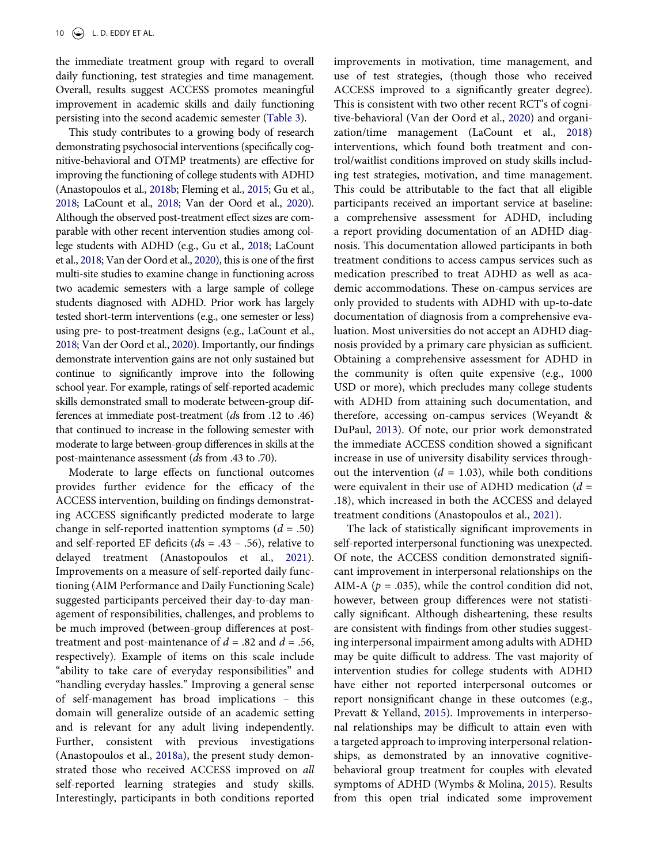the immediate treatment group with regard to overall daily functioning, test strategies and time management. Overall, results suggest ACCESS promotes meaningful improvement in academic skills and daily functioning persisting into the second academic semester ([Table 3](#page-9-0)).

This study contributes to a growing body of research demonstrating psychosocial interventions (specifically cognitive-behavioral and OTMP treatments) are effective for improving the functioning of college students with ADHD (Anastopoulos et al., [2018b;](#page-12-18) Fleming et al., [2015](#page-12-15); Gu et al., [2018](#page-12-16); LaCount et al., [2018;](#page-13-14) Van der Oord et al., [2020](#page-14-2)). Although the observed post-treatment effect sizes are comparable with other recent intervention studies among college students with ADHD (e.g., Gu et al., [2018](#page-12-16); LaCount et al., [2018;](#page-13-14) Van der Oord et al., [2020\)](#page-14-2), this is one of the first multi-site studies to examine change in functioning across two academic semesters with a large sample of college students diagnosed with ADHD. Prior work has largely tested short-term interventions (e.g., one semester or less) using pre- to post-treatment designs (e.g., LaCount et al., [2018](#page-13-14); Van der Oord et al., [2020\)](#page-14-2). Importantly, our findings demonstrate intervention gains are not only sustained but continue to significantly improve into the following school year. For example, ratings of self-reported academic skills demonstrated small to moderate between-group differences at immediate post-treatment (*d*s from .12 to .46) that continued to increase in the following semester with moderate to large between-group differences in skills at the post-maintenance assessment (*d*s from .43 to .70).

Moderate to large effects on functional outcomes provides further evidence for the efficacy of the ACCESS intervention, building on findings demonstrating ACCESS significantly predicted moderate to large change in self-reported inattention symptoms (*d* = .50) and self-reported EF deficits (*d*s = .43 – .56), relative to delayed treatment (Anastopoulos et al., [2021\)](#page-12-19). Improvements on a measure of self-reported daily functioning (AIM Performance and Daily Functioning Scale) suggested participants perceived their day-to-day management of responsibilities, challenges, and problems to be much improved (between-group differences at posttreatment and post-maintenance of  $d = .82$  and  $d = .56$ , respectively). Example of items on this scale include "ability to take care of everyday responsibilities" and "handling everyday hassles." Improving a general sense of self-management has broad implications – this domain will generalize outside of an academic setting and is relevant for any adult living independently. Further, consistent with previous investigations (Anastopoulos et al., [2018a\)](#page-12-6), the present study demonstrated those who received ACCESS improved on *all*  self-reported learning strategies and study skills. Interestingly, participants in both conditions reported

improvements in motivation, time management, and use of test strategies, (though those who received ACCESS improved to a significantly greater degree). This is consistent with two other recent RCT's of cognitive-behavioral (Van der Oord et al., [2020](#page-14-2)) and organization/time management (LaCount et al., [2018](#page-13-14)) interventions, which found both treatment and control/waitlist conditions improved on study skills including test strategies, motivation, and time management. This could be attributable to the fact that all eligible participants received an important service at baseline: a comprehensive assessment for ADHD, including a report providing documentation of an ADHD diagnosis. This documentation allowed participants in both treatment conditions to access campus services such as medication prescribed to treat ADHD as well as academic accommodations. These on-campus services are only provided to students with ADHD with up-to-date documentation of diagnosis from a comprehensive evaluation. Most universities do not accept an ADHD diagnosis provided by a primary care physician as sufficient. Obtaining a comprehensive assessment for ADHD in the community is often quite expensive (e.g., 1000 USD or more), which precludes many college students with ADHD from attaining such documentation, and therefore, accessing on-campus services (Weyandt & DuPaul, [2013\)](#page-14-4). Of note, our prior work demonstrated the immediate ACCESS condition showed a significant increase in use of university disability services throughout the intervention  $(d = 1.03)$ , while both conditions were equivalent in their use of ADHD medication (*d* = .18), which increased in both the ACCESS and delayed treatment conditions (Anastopoulos et al., [2021\)](#page-12-19).

<span id="page-10-1"></span><span id="page-10-0"></span>The lack of statistically significant improvements in self-reported interpersonal functioning was unexpected. Of note, the ACCESS condition demonstrated significant improvement in interpersonal relationships on the AIM-A ( $p = .035$ ), while the control condition did not, however, between group differences were not statistically significant. Although disheartening, these results are consistent with findings from other studies suggesting interpersonal impairment among adults with ADHD may be quite difficult to address. The vast majority of intervention studies for college students with ADHD have either not reported interpersonal outcomes or report nonsignificant change in these outcomes (e.g., Prevatt & Yelland, [2015\)](#page-13-11). Improvements in interpersonal relationships may be difficult to attain even with a targeted approach to improving interpersonal relationships, as demonstrated by an innovative cognitivebehavioral group treatment for couples with elevated symptoms of ADHD (Wymbs & Molina, [2015\)](#page-14-5). Results from this open trial indicated some improvement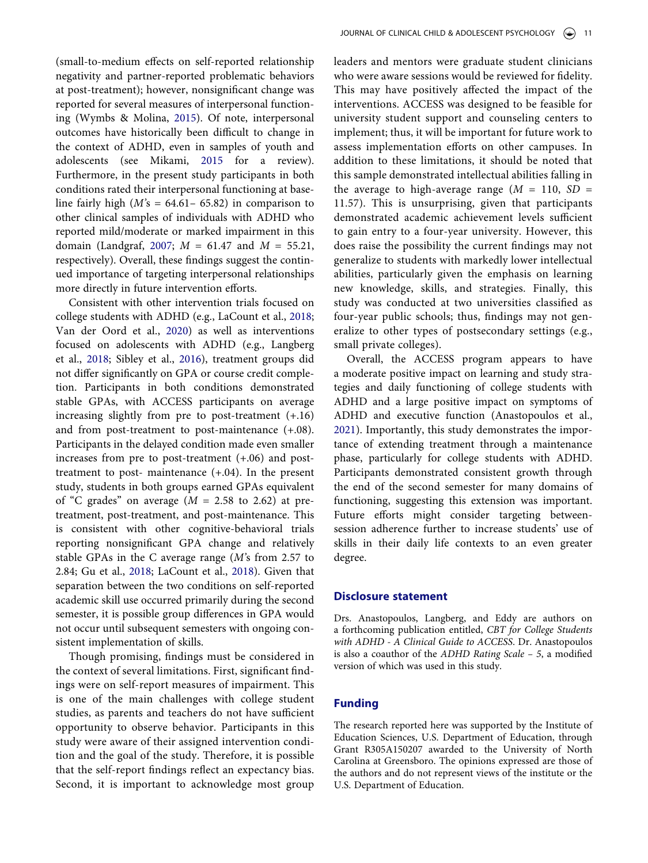<span id="page-11-1"></span>(small-to-medium effects on self-reported relationship negativity and partner-reported problematic behaviors at post-treatment); however, nonsignificant change was reported for several measures of interpersonal functioning (Wymbs & Molina, [2015\)](#page-14-5). Of note, interpersonal outcomes have historically been difficult to change in the context of ADHD, even in samples of youth and adolescents (see Mikami, [2015](#page-13-25) for a review). Furthermore, in the present study participants in both conditions rated their interpersonal functioning at baseline fairly high  $(M's = 64.61 - 65.82)$  in comparison to other clinical samples of individuals with ADHD who reported mild/moderate or marked impairment in this domain (Landgraf, [2007;](#page-13-22) *M* = 61.47 and *M* = 55.21, respectively). Overall, these findings suggest the continued importance of targeting interpersonal relationships more directly in future intervention efforts.

<span id="page-11-0"></span>Consistent with other intervention trials focused on college students with ADHD (e.g., LaCount et al., [2018;](#page-13-14) Van der Oord et al., [2020](#page-14-2)) as well as interventions focused on adolescents with ADHD (e.g., Langberg et al., [2018;](#page-13-26) Sibley et al., [2016](#page-13-27)), treatment groups did not differ significantly on GPA or course credit completion. Participants in both conditions demonstrated stable GPAs, with ACCESS participants on average increasing slightly from pre to post-treatment (+.16) and from post-treatment to post-maintenance (+.08). Participants in the delayed condition made even smaller increases from pre to post-treatment (+.06) and posttreatment to post- maintenance (+.04). In the present study, students in both groups earned GPAs equivalent of "C grades" on average  $(M = 2.58$  to 2.62) at pretreatment, post-treatment, and post-maintenance. This is consistent with other cognitive-behavioral trials reporting nonsignificant GPA change and relatively stable GPAs in the C average range (*M'*s from 2.57 to 2.84; Gu et al., [2018;](#page-12-16) LaCount et al., [2018\)](#page-13-14). Given that separation between the two conditions on self-reported academic skill use occurred primarily during the second semester, it is possible group differences in GPA would not occur until subsequent semesters with ongoing consistent implementation of skills.

Though promising, findings must be considered in the context of several limitations. First, significant findings were on self-report measures of impairment. This is one of the main challenges with college student studies, as parents and teachers do not have sufficient opportunity to observe behavior. Participants in this study were aware of their assigned intervention condition and the goal of the study. Therefore, it is possible that the self-report findings reflect an expectancy bias. Second, it is important to acknowledge most group leaders and mentors were graduate student clinicians who were aware sessions would be reviewed for fidelity. This may have positively affected the impact of the interventions. ACCESS was designed to be feasible for university student support and counseling centers to implement; thus, it will be important for future work to assess implementation efforts on other campuses. In addition to these limitations, it should be noted that this sample demonstrated intellectual abilities falling in the average to high-average range  $(M = 110, SD =$ 11.57). This is unsurprising, given that participants demonstrated academic achievement levels sufficient to gain entry to a four-year university. However, this does raise the possibility the current findings may not generalize to students with markedly lower intellectual abilities, particularly given the emphasis on learning new knowledge, skills, and strategies. Finally, this study was conducted at two universities classified as four-year public schools; thus, findings may not generalize to other types of postsecondary settings (e.g., small private colleges).

Overall, the ACCESS program appears to have a moderate positive impact on learning and study strategies and daily functioning of college students with ADHD and a large positive impact on symptoms of ADHD and executive function (Anastopoulos et al., [2021](#page-12-19)). Importantly, this study demonstrates the importance of extending treatment through a maintenance phase, particularly for college students with ADHD. Participants demonstrated consistent growth through the end of the second semester for many domains of functioning, suggesting this extension was important. Future efforts might consider targeting betweensession adherence further to increase students' use of skills in their daily life contexts to an even greater degree.

#### **Disclosure statement**

Drs. Anastopoulos, Langberg, and Eddy are authors on a forthcoming publication entitled, *CBT for College Students with ADHD - A Clinical Guide to ACCESS*. Dr. Anastopoulos is also a coauthor of the *ADHD Rating Scale – 5*, a modified version of which was used in this study.

# **Funding**

The research reported here was supported by the Institute of Education Sciences, U.S. Department of Education, through Grant R305A150207 awarded to the University of North Carolina at Greensboro. The opinions expressed are those of the authors and do not represent views of the institute or the U.S. Department of Education.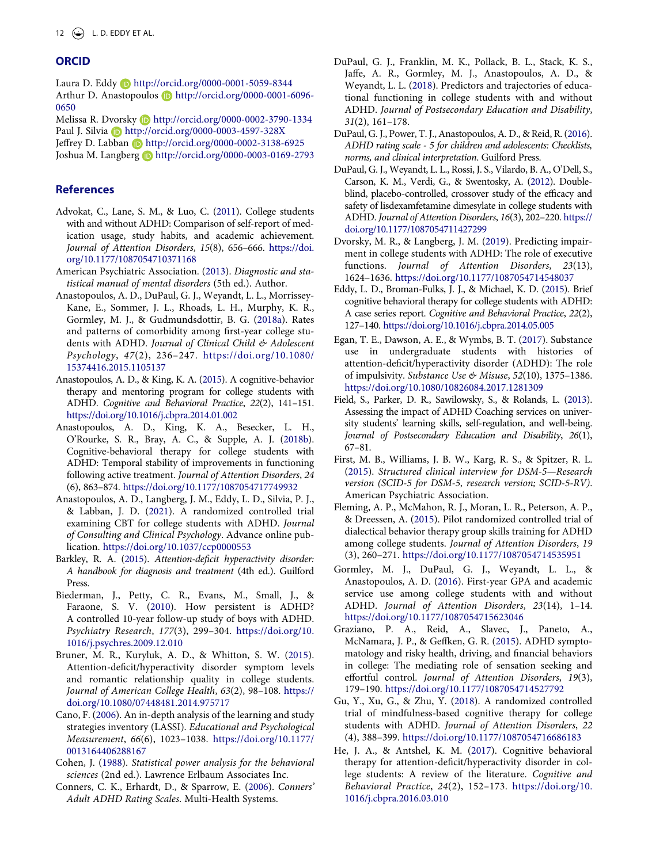# **ORCID**

Laura D. Eddy http://orcid.org/0000-0001-5059-8344 Arthur D. Anastopoulos D http://orcid.org/0000-0001-6096-0650

Melissa R. Dvorsky Dhttp://orcid.org/0000-0002-3790-1334 Paul J. Silvia (D http://orcid.org/0000-0003-4597-328X Jeffrey D. Labban (D http://orcid.org/0000-0002-3138-6925

Joshua M. Langberg **b** http://orcid.org/0000-0003-0169-2793

#### **References**

- <span id="page-12-11"></span>Advokat, C., Lane, S. M., & Luo, C. [\(2011](#page-2-0)). College students with and without ADHD: Comparison of self-report of medication usage, study habits, and academic achievement. *Journal of Attention Disorders*, *15*(8), 656–666. [https://doi.](https://doi.org/10.1177/1087054710371168)  [org/10.1177/1087054710371168](https://doi.org/10.1177/1087054710371168)
- <span id="page-12-0"></span>American Psychiatric Association. [\(2013\)](#page-1-3). *Diagnostic and statistical manual of mental disorders* (5th ed.). Author.
- <span id="page-12-6"></span>Anastopoulos, A. D., DuPaul, G. J., Weyandt, L. L., Morrissey-Kane, E., Sommer, J. L., Rhoads, L. H., Murphy, K. R., Gormley, M. J., & Gudmundsdottir, B. G. ([2018a](#page-2-1)). Rates and patterns of comorbidity among first-year college students with ADHD. *Journal of Clinical Child & Adolescent Psychology*, *47*(2), 236–247. [https://doi.org/10.1080/](https://doi.org/10.1080/15374416.2015.1105137) [15374416.2015.1105137](https://doi.org/10.1080/15374416.2015.1105137)
- <span id="page-12-17"></span>Anastopoulos, A. D., & King, K. A. ([2015](#page-3-0)). A cognitive-behavior therapy and mentoring program for college students with ADHD. *Cognitive and Behavioral Practice*, *22*(2), 141–151. <https://doi.org/10.1016/j.cbpra.2014.01.002>
- <span id="page-12-18"></span>Anastopoulos, A. D., King, K. A., Besecker, L. H., O'Rourke, S. R., Bray, A. C., & Supple, A. J. [\(2018b\)](#page-3-0). Cognitive-behavioral therapy for college students with ADHD: Temporal stability of improvements in functioning following active treatment. *Journal of Attention Disorders*, *24*  (6), 863–874. <https://doi.org/10.1177/1087054717749932>
- <span id="page-12-19"></span>Anastopoulos, A. D., Langberg, J. M., Eddy, L. D., Silvia, P. J., & Labban, J. D. [\(2021\)](#page-3-1). A randomized controlled trial examining CBT for college students with ADHD. *Journal of Consulting and Clinical Psychology*. Advance online publication. <https://doi.org/10.1037/ccp0000553>
- <span id="page-12-9"></span>Barkley, R. A. [\(2015\)](#page-2-2). *Attention-deficit hyperactivity disorder: A handbook for diagnosis and treatment* (4th ed.). Guilford Press.
- <span id="page-12-1"></span>Biederman, J., Petty, C. R., Evans, M., Small, J., & Faraone, S. V. ([2010](#page-1-4)). How persistent is ADHD? A controlled 10-year follow-up study of boys with ADHD. *Psychiatry Research*, *177*(3), 299–304. [https://doi.org/10.](https://doi.org/10.1016/j.psychres.2009.12.010) [1016/j.psychres.2009.12.010](https://doi.org/10.1016/j.psychres.2009.12.010)
- <span id="page-12-7"></span>Bruner, M. R., Kuryluk, A. D., & Whitton, S. W. [\(2015\)](#page-2-3). Attention-deficit/hyperactivity disorder symptom levels and romantic relationship quality in college students. *Journal of American College Health*, *63*(2), 98–108. [https://](https://doi.org/10.1080/07448481.2014.975717) [doi.org/10.1080/07448481.2014.975717](https://doi.org/10.1080/07448481.2014.975717)
- <span id="page-12-23"></span>Cano, F. ([2006](#page-6-0)). An in-depth analysis of the learning and study strategies inventory (LASSI). *Educational and Psychological Measurement*, *66*(6), 1023–1038. [https://doi.org/10.1177/](https://doi.org/10.1177/0013164406288167) [0013164406288167](https://doi.org/10.1177/0013164406288167)
- <span id="page-12-24"></span>Cohen, J. ([1988\)](#page-8-1). *Statistical power analysis for the behavioral sciences* (2nd ed.). Lawrence Erlbaum Associates Inc.
- <span id="page-12-20"></span>Conners, C. K., Erhardt, D., & Sparrow, E. ([2006\)](#page-6-1). *Conners' Adult ADHD Rating Scales*. Multi-Health Systems.
- <span id="page-12-4"></span>DuPaul, G. J., Franklin, M. K., Pollack, B. L., Stack, K. S., Jaffe, A. R., Gormley, M. J., Anastopoulos, A. D., & Weyandt, L. L. [\(2018](#page-2-4)). Predictors and trajectories of educational functioning in college students with and without ADHD. *Journal of Postsecondary Education and Disability*, *31*(2), 161–178.
- <span id="page-12-21"></span>DuPaul, G. J., Power, T. J., Anastopoulos, A. D., & Reid, R. [\(2016\)](#page-6-2). *ADHD rating scale - 5 for children and adolescents: Checklists, norms, and clinical interpretation*. Guilford Press.
- <span id="page-12-10"></span>DuPaul, G. J., Weyandt, L. L., Rossi, J. S., Vilardo, B. A., O'Dell, S., Carson, K. M., Verdi, G., & Swentosky, A. [\(2012\)](#page-2-5). Doubleblind, placebo-controlled, crossover study of the efficacy and safety of lisdexamfetamine dimesylate in college students with ADHD. *Journal of Attention Disorders*, *16*(3), 202–220. [https://](https://doi.org/10.1177/1087054711427299)  [doi.org/10.1177/1087054711427299](https://doi.org/10.1177/1087054711427299)
- <span id="page-12-2"></span>Dvorsky, M. R., & Langberg, J. M. [\(2019](#page-1-5)). Predicting impairment in college students with ADHD: The role of executive functions. *Journal of Attention Disorders*, *23*(13), 1624–1636. <https://doi.org/10.1177/1087054714548037>
- <span id="page-12-14"></span>Eddy, L. D., Broman-Fulks, J. J., & Michael, K. D. ([2015](#page-2-6)). Brief cognitive behavioral therapy for college students with ADHD: A case series report. *Cognitive and Behavioral Practice*, *22*(2), 127–140.<https://doi.org/10.1016/j.cbpra.2014.05.005>
- <span id="page-12-8"></span>Egan, T. E., Dawson, A. E., & Wymbs, B. T. ([2017\)](#page-2-7). Substance use in undergraduate students with histories of attention-deficit/hyperactivity disorder (ADHD): The role of impulsivity. *Substance Use & Misuse*, *52*(10), 1375–1386. <https://doi.org/10.1080/10826084.2017.1281309>
- <span id="page-12-13"></span>Field, S., Parker, D. R., Sawilowsky, S., & Rolands, L. [\(2013\)](#page-2-8). Assessing the impact of ADHD Coaching services on university students' learning skills, self-regulation, and well-being. *Journal of Postsecondary Education and Disability*, *26*(1), 67–81.
- <span id="page-12-22"></span>First, M. B., Williams, J. B. W., Karg, R. S., & Spitzer, R. L. [\(2015\)](#page-6-3). *Structured clinical interview for DSM-5—Research version (SCID-5 for DSM-5, research version; SCID-5-RV)*. American Psychiatric Association.
- <span id="page-12-15"></span>Fleming, A. P., McMahon, R. J., Moran, L. R., Peterson, A. P., & Dreessen, A. ([2015\)](#page-2-9). Pilot randomized controlled trial of dialectical behavior therapy group skills training for ADHD among college students. *Journal of Attention Disorders*, *19*  (3), 260–271. <https://doi.org/10.1177/1087054714535951>
- <span id="page-12-3"></span>Gormley, M. J., DuPaul, G. J., Weyandt, L. L., & Anastopoulos, A. D. [\(2016\)](#page-2-10). First-year GPA and academic service use among college students with and without ADHD. *Journal of Attention Disorders*, *23*(14), 1–14. <https://doi.org/10.1177/1087054715623046>
- <span id="page-12-5"></span>Graziano, P. A., Reid, A., Slavec, J., Paneto, A., McNamara, J. P., & Geffken, G. R. [\(2015\)](#page-2-11). ADHD symptomatology and risky health, driving, and financial behaviors in college: The mediating role of sensation seeking and effortful control. *Journal of Attention Disorders*, *19*(3), 179–190. <https://doi.org/10.1177/1087054714527792>
- <span id="page-12-16"></span>Gu, Y., Xu, G., & Zhu, Y. ([2018\)](#page-2-12). A randomized controlled trial of mindfulness-based cognitive therapy for college students with ADHD. *Journal of Attention Disorders*, *22*  (4), 388–399. <https://doi.org/10.1177/1087054716686183>
- <span id="page-12-12"></span>He, J. A., & Antshel, K. M. ([2017](#page-2-13)). Cognitive behavioral therapy for attention-deficit/hyperactivity disorder in college students: A review of the literature. *Cognitive and Behavioral Practice*, *24*(2), 152–173. [https://doi.org/10.](https://doi.org/10.1016/j.cbpra.2016.03.010) [1016/j.cbpra.2016.03.010](https://doi.org/10.1016/j.cbpra.2016.03.010)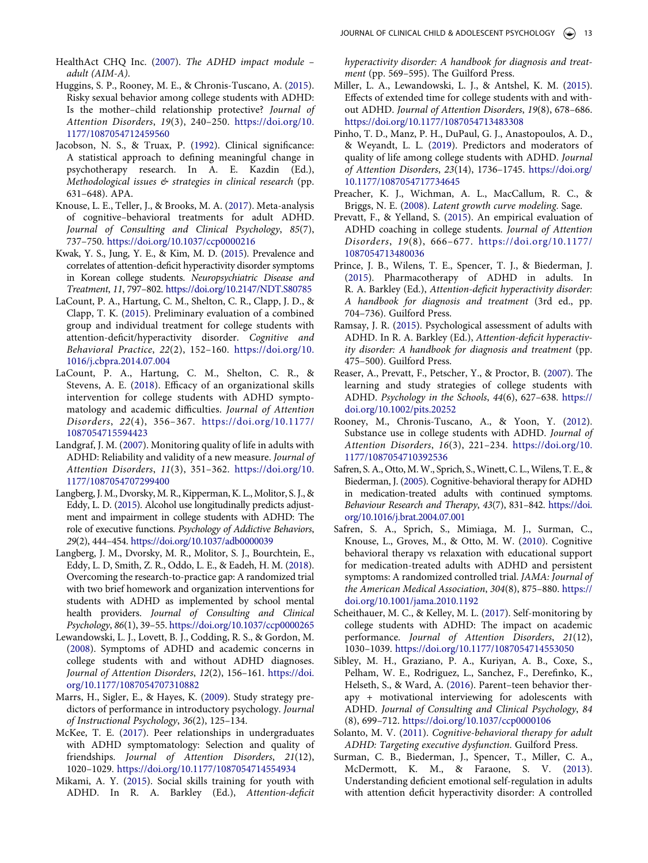- <span id="page-13-21"></span>HealthAct CHQ Inc. [\(2007](#page-6-4)). *The ADHD impact module – adult (AIM-A)*.
- <span id="page-13-4"></span>Huggins, S. P., Rooney, M. E., & Chronis-Tuscano, A. [\(2015\)](#page-2-14). Risky sexual behavior among college students with ADHD: Is the mother–child relationship protective? *Journal of Attention Disorders*, *19*(3), 240–250. [https://doi.org/10.](https://doi.org/10.1177/1087054712459560) [1177/1087054712459560](https://doi.org/10.1177/1087054712459560)
- <span id="page-13-24"></span>Jacobson, N. S., & Truax, P. ([1992](#page-8-2)). Clinical significance: A statistical approach to defining meaningful change in psychotherapy research. In A. E. Kazdin (Ed.), *Methodological issues & strategies in clinical research* (pp. 631–648). APA.
- <span id="page-13-15"></span>Knouse, L. E., Teller, J., & Brooks, M. A. [\(2017\)](#page-2-15). Meta-analysis of cognitive–behavioral treatments for adult ADHD. *Journal of Consulting and Clinical Psychology*, *85*(7), 737–750. <https://doi.org/10.1037/ccp0000216>
- <span id="page-13-0"></span>Kwak, Y. S., Jung, Y. E., & Kim, M. D. ([2015](#page-1-6)). Prevalence and correlates of attention-deficit hyperactivity disorder symptoms in Korean college students. *Neuropsychiatric Disease and Treatment*, *11*, 797–802. <https://doi.org/10.2147/NDT.S80785>
- <span id="page-13-13"></span>LaCount, P. A., Hartung, C. M., Shelton, C. R., Clapp, J. D., & Clapp, T. K. ([2015\)](#page-2-16). Preliminary evaluation of a combined group and individual treatment for college students with attention-deficit/hyperactivity disorder. *Cognitive and Behavioral Practice*, *22*(2), 152–160. [https://doi.org/10.](https://doi.org/10.1016/j.cbpra.2014.07.004) [1016/j.cbpra.2014.07.004](https://doi.org/10.1016/j.cbpra.2014.07.004)
- <span id="page-13-14"></span>LaCount, P. A., Hartung, C. M., Shelton, C. R., & Stevens, A. E. ([2018\)](#page-2-16). Efficacy of an organizational skills intervention for college students with ADHD symptomatology and academic difficulties. *Journal of Attention Disorders*, *22*(4), 356–367. [https://doi.org/10.1177/](https://doi.org/10.1177/1087054715594423)  [1087054715594423](https://doi.org/10.1177/1087054715594423)
- <span id="page-13-22"></span>Landgraf, J. M. ([2007\)](#page-6-5). Monitoring quality of life in adults with ADHD: Reliability and validity of a new measure. *Journal of Attention Disorders*, *11*(3), 351–362. [https://doi.org/10.](https://doi.org/10.1177/1087054707299400) [1177/1087054707299400](https://doi.org/10.1177/1087054707299400)
- <span id="page-13-7"></span>Langberg, J. M., Dvorsky, M. R., Kipperman, K. L., Molitor, S. J., & Eddy, L. D. ([2015](#page-2-17)). Alcohol use longitudinally predicts adjustment and impairment in college students with ADHD: The role of executive functions. *Psychology of Addictive Behaviors*, *29*(2), 444–454. <https://doi.org/10.1037/adb0000039>
- <span id="page-13-26"></span>Langberg, J. M., Dvorsky, M. R., Molitor, S. J., Bourchtein, E., Eddy, L. D, Smith, Z. R., Oddo, L. E., & Eadeh, H. M. ([2018\)](#page-11-0). Overcoming the research-to-practice gap: A randomized trial with two brief homework and organization interventions for students with ADHD as implemented by school mental health providers. *Journal of Consulting and Clinical Psychology*, *86*(1), 39–55.<https://doi.org/10.1037/ccp0000265>
- <span id="page-13-1"></span>Lewandowski, L. J., Lovett, B. J., Codding, R. S., & Gordon, M. [\(2008\)](#page-2-18). Symptoms of ADHD and academic concerns in college students with and without ADHD diagnoses. *Journal of Attention Disorders*, *12*(2), 156–161. [https://doi.](https://doi.org/10.1177/1087054707310882) [org/10.1177/1087054707310882](https://doi.org/10.1177/1087054707310882)
- <span id="page-13-20"></span>Marrs, H., Sigler, E., & Hayes, K. [\(2009\)](#page-6-6). Study strategy predictors of performance in introductory psychology. *Journal of Instructional Psychology*, *36*(2), 125–134.
- <span id="page-13-6"></span>McKee, T. E. ([2017\)](#page-2-19). Peer relationships in undergraduates with ADHD symptomatology: Selection and quality of friendships. *Journal of Attention Disorders*, *21*(12), 1020–1029. <https://doi.org/10.1177/1087054714554934>
- <span id="page-13-25"></span>Mikami, A. Y. [\(2015\)](#page-11-1). Social skills training for youth with ADHD. In R. A. Barkley (Ed.), *Attention-deficit*

*hyperactivity disorder: A handbook for diagnosis and treatment* (pp. 569–595). The Guilford Press.

- <span id="page-13-10"></span>Miller, L. A., Lewandowski, L. J., & Antshel, K. M. [\(2015\)](#page-2-20). Effects of extended time for college students with and without ADHD. *Journal of Attention Disorders*, *19*(8), 678–686. <https://doi.org/10.1177/1087054713483308>
- <span id="page-13-3"></span>Pinho, T. D., Manz, P. H., DuPaul, G. J., Anastopoulos, A. D., & Weyandt, L. L. ([2019](#page-2-21)). Predictors and moderators of quality of life among college students with ADHD. *Journal of Attention Disorders*, *23*(14), 1736–1745. [https://doi.org/](https://doi.org/10.1177/1087054717734645)  [10.1177/1087054717734645](https://doi.org/10.1177/1087054717734645)
- <span id="page-13-23"></span>Preacher, K. J., Wichman, A. L., MacCallum, R. C., & Briggs, N. E. [\(2008\)](#page-8-3). *Latent growth curve modeling*. Sage.
- <span id="page-13-11"></span>Prevatt, F., & Yelland, S. [\(2015\)](#page-2-8). An empirical evaluation of ADHD coaching in college students. *Journal of Attention Disorders*, *19*(8), 666–677. [https://doi.org/10.1177/](https://doi.org/10.1177/1087054713480036)  [1087054713480036](https://doi.org/10.1177/1087054713480036)
- <span id="page-13-9"></span>Prince, J. B., Wilens, T. E., Spencer, T. J., & Biederman, J. [\(2015\)](#page-2-22). Pharmacotherapy of ADHD in adults. In R. A. Barkley (Ed.), *Attention-deficit hyperactivity disorder: A handbook for diagnosis and treatment* (3rd ed., pp. 704–736). Guilford Press.
- <span id="page-13-19"></span>Ramsay, J. R. [\(2015](#page-6-7)). Psychological assessment of adults with ADHD. In R. A. Barkley (Ed.), *Attention-deficit hyperactivity disorder: A handbook for diagnosis and treatment* (pp. 475–500). Guilford Press.
- <span id="page-13-2"></span>Reaser, A., Prevatt, F., Petscher, Y., & Proctor, B. ([2007\)](#page-2-23). The learning and study strategies of college students with ADHD. *Psychology in the Schools*, *44*(6), 627–638. [https://](https://doi.org/10.1002/pits.20252) [doi.org/10.1002/pits.20252](https://doi.org/10.1002/pits.20252)
- <span id="page-13-5"></span>Rooney, M., Chronis-Tuscano, A., & Yoon, Y. [\(2012\)](#page-2-24). Substance use in college students with ADHD. *Journal of Attention Disorders*, *16*(3), 221–234. [https://doi.org/10.](https://doi.org/10.1177/1087054710392536) [1177/1087054710392536](https://doi.org/10.1177/1087054710392536)
- <span id="page-13-16"></span>Safren, S. A., Otto, M. W., Sprich, S., Winett, C. L., Wilens, T. E., & Biederman, J. [\(2005\)](#page-2-15). Cognitive-behavioral therapy for ADHD in medication-treated adults with continued symptoms. *Behaviour Research and Therapy*, *43*(7), 831–842. [https://doi.](https://doi.org/10.1016/j.brat.2004.07.001)  [org/10.1016/j.brat.2004.07.001](https://doi.org/10.1016/j.brat.2004.07.001)
- <span id="page-13-17"></span>Safren, S. A., Sprich, S., Mimiaga, M. J., Surman, C., Knouse, L., Groves, M., & Otto, M. W. ([2010\)](#page-2-15). Cognitive behavioral therapy vs relaxation with educational support for medication-treated adults with ADHD and persistent symptoms: A randomized controlled trial. *JAMA: Journal of the American Medical Association*, *304*(8), 875–880. [https://](https://doi.org/10.1001/jama.2010.1192) [doi.org/10.1001/jama.2010.1192](https://doi.org/10.1001/jama.2010.1192)
- <span id="page-13-12"></span>Scheithauer, M. C., & Kelley, M. L. [\(2017\)](#page-2-25). Self-monitoring by college students with ADHD: The impact on academic performance. *Journal of Attention Disorders*, *21*(12), 1030–1039. <https://doi.org/10.1177/1087054714553050>
- <span id="page-13-27"></span>Sibley, M. H., Graziano, P. A., Kuriyan, A. B., Coxe, S., Pelham, W. E., Rodriguez, L., Sanchez, F., Derefinko, K., Helseth, S., & Ward, A. ([2016\)](#page-11-0). Parent–teen behavior therapy + motivational interviewing for adolescents with ADHD. *Journal of Consulting and Clinical Psychology*, *84*  (8), 699–712. <https://doi.org/10.1037/ccp0000106>
- <span id="page-13-18"></span>Solanto, M. V. [\(2011](#page-5-1)). *Cognitive-behavioral therapy for adult ADHD: Targeting executive dysfunction*. Guilford Press.
- <span id="page-13-8"></span>Surman, C. B., Biederman, J., Spencer, T., Miller, C. A., McDermott, K. M., & Faraone, S. V. [\(2013\)](#page-2-17). Understanding deficient emotional self-regulation in adults with attention deficit hyperactivity disorder: A controlled